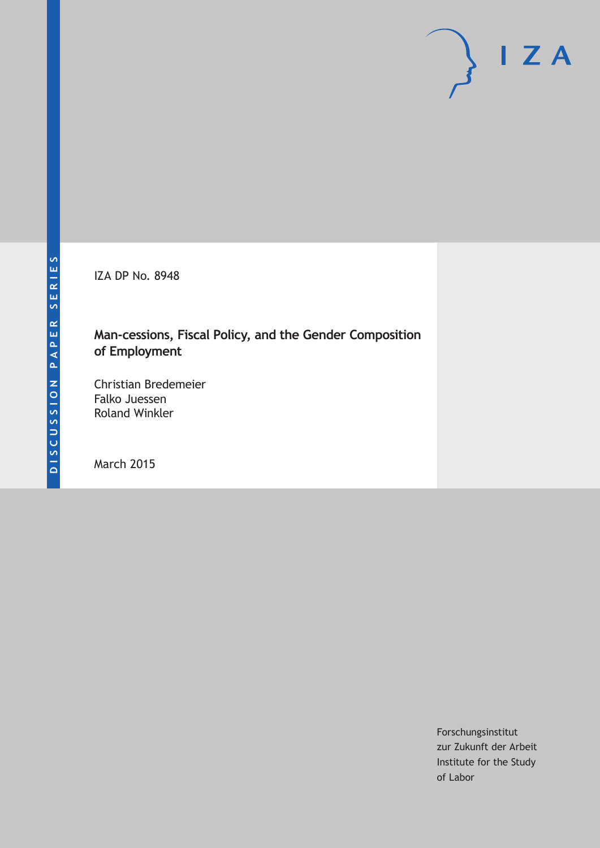IZA DP No. 8948

# **Man-cessions, Fiscal Policy, and the Gender Composition of Employment**

Christian Bredemeier Falko Juessen Roland Winkler

March 2015

Forschungsinstitut zur Zukunft der Arbeit Institute for the Study of Labor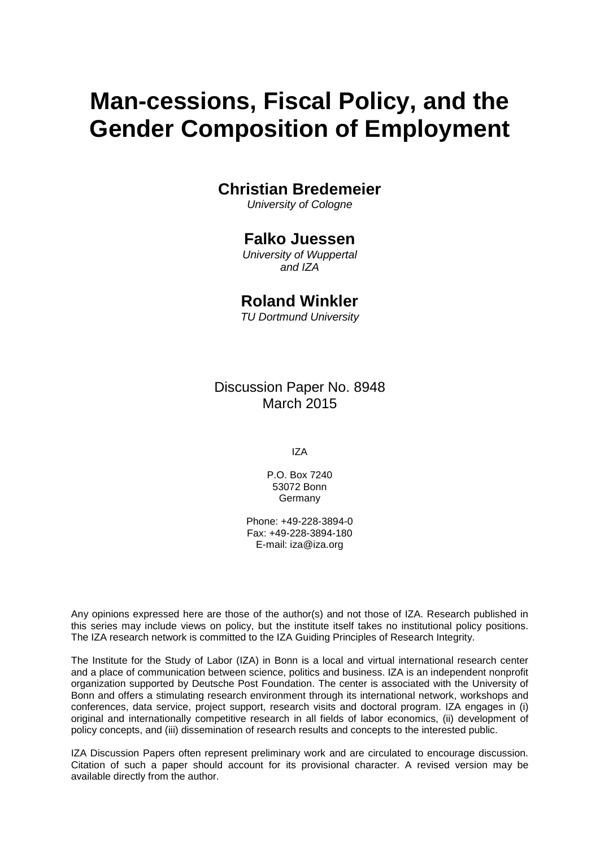# **Man-cessions, Fiscal Policy, and the Gender Composition of Employment**

## **Christian Bredemeier**

*University of Cologne*

## **Falko Juessen**

*University of Wuppertal and IZA*

## **Roland Winkler**

*TU Dortmund University*

Discussion Paper No. 8948 March 2015

IZA

P.O. Box 7240 53072 Bonn Germany

Phone: +49-228-3894-0 Fax: +49-228-3894-180 E-mail: iza@iza.org

Any opinions expressed here are those of the author(s) and not those of IZA. Research published in this series may include views on policy, but the institute itself takes no institutional policy positions. The IZA research network is committed to the IZA Guiding Principles of Research Integrity.

The Institute for the Study of Labor (IZA) in Bonn is a local and virtual international research center and a place of communication between science, politics and business. IZA is an independent nonprofit organization supported by Deutsche Post Foundation. The center is associated with the University of Bonn and offers a stimulating research environment through its international network, workshops and conferences, data service, project support, research visits and doctoral program. IZA engages in (i) original and internationally competitive research in all fields of labor economics, (ii) development of policy concepts, and (iii) dissemination of research results and concepts to the interested public.

<span id="page-1-0"></span>IZA Discussion Papers often represent preliminary work and are circulated to encourage discussion. Citation of such a paper should account for its provisional character. A revised version may be available directly from the author.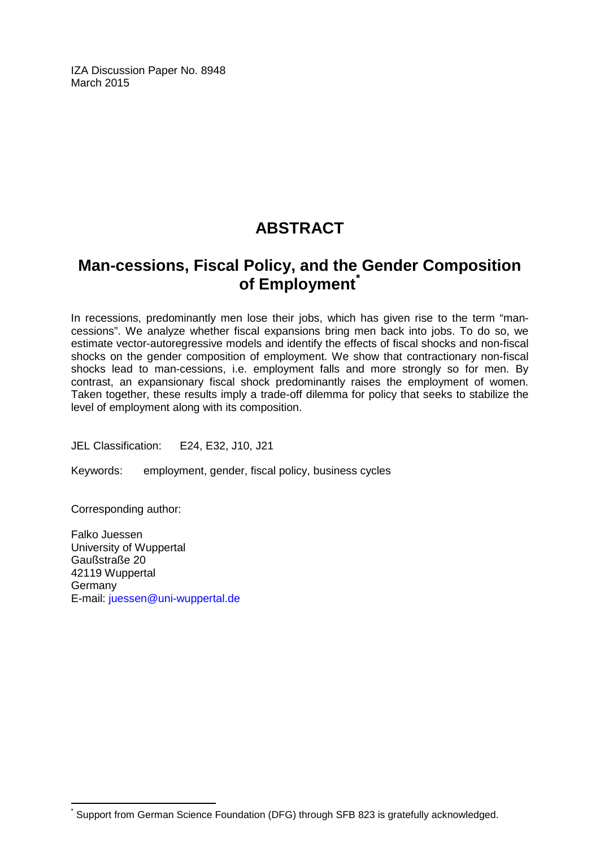IZA Discussion Paper No. 8948 March 2015

# **ABSTRACT**

# **Man-cessions, Fiscal Policy, and the Gender Composition of Employment[\\*](#page-1-0)**

In recessions, predominantly men lose their jobs, which has given rise to the term "mancessions". We analyze whether fiscal expansions bring men back into jobs. To do so, we estimate vector-autoregressive models and identify the effects of fiscal shocks and non-fiscal shocks on the gender composition of employment. We show that contractionary non-fiscal shocks lead to man-cessions, i.e. employment falls and more strongly so for men. By contrast, an expansionary fiscal shock predominantly raises the employment of women. Taken together, these results imply a trade-off dilemma for policy that seeks to stabilize the level of employment along with its composition.

JEL Classification: E24, E32, J10, J21

Keywords: employment, gender, fiscal policy, business cycles

Corresponding author:

Falko Juessen University of Wuppertal Gaußstraße 20 42119 Wuppertal Germany E-mail: [juessen@uni-wuppertal.de](mailto:juessen@uni-wuppertal.de)

Support from German Science Foundation (DFG) through SFB 823 is gratefully acknowledged.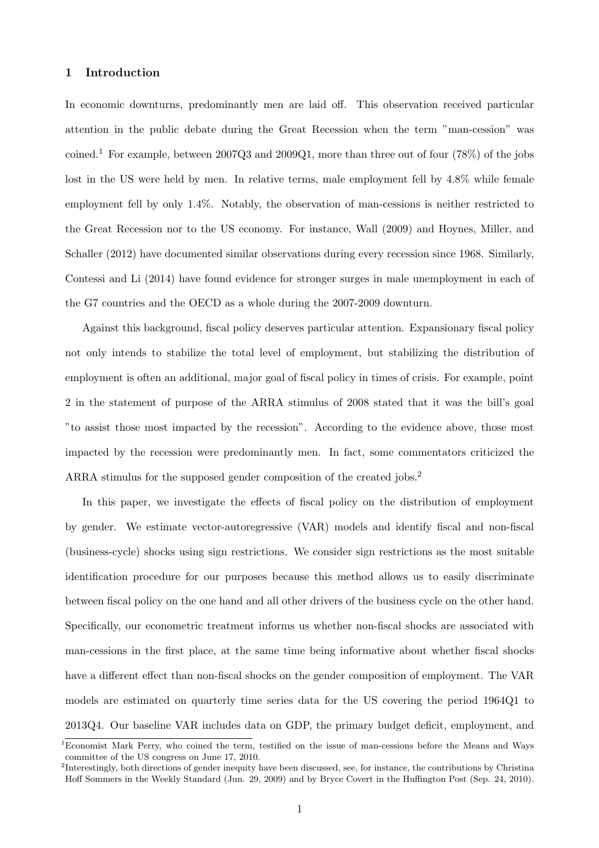### 1 Introduction

In economic downturns, predominantly men are laid off. This observation received particular attention in the public debate during the Great Recession when the term "man-cession" was coined.<sup>1</sup> For example, between  $2007Q3$  and  $2009Q1$ , more than three out of four (78%) of the jobs lost in the US were held by men. In relative terms, male employment fell by 4.8% while female employment fell by only 1.4%. Notably, the observation of man-cessions is neither restricted to the Great Recession nor to the US economy. For instance, Wall (2009) and Hoynes, Miller, and Schaller (2012) have documented similar observations during every recession since 1968. Similarly, Contessi and Li (2014) have found evidence for stronger surges in male unemployment in each of the G7 countries and the OECD as a whole during the 2007-2009 downturn.

Against this background, fiscal policy deserves particular attention. Expansionary fiscal policy not only intends to stabilize the total level of employment, but stabilizing the distribution of employment is often an additional, major goal of fiscal policy in times of crisis. For example, point 2 in the statement of purpose of the ARRA stimulus of 2008 stated that it was the bill's goal "to assist those most impacted by the recession". According to the evidence above, those most impacted by the recession were predominantly men. In fact, some commentators criticized the ARRA stimulus for the supposed gender composition of the created iobs.<sup>2</sup>

In this paper, we investigate the effects of fiscal policy on the distribution of employment by gender. We estimate vector-autoregressive (VAR) models and identify fiscal and non-fiscal (business-cycle) shocks using sign restrictions. We consider sign restrictions as the most suitable identification procedure for our purposes because this method allows us to easily discriminate between fiscal policy on the one hand and all other drivers of the business cycle on the other hand. Specifically, our econometric treatment informs us whether non-fiscal shocks are associated with man-cessions in the first place, at the same time being informative about whether fiscal shocks have a different effect than non-fiscal shocks on the gender composition of employment. The VAR models are estimated on quarterly time series data for the US covering the period 1964Q1 to 2013Q4. Our baseline VAR includes data on GDP, the primary budget deficit, employment, and

<sup>1</sup>Economist Mark Perry, who coined the term, testified on the issue of man-cessions before the Means and Ways committee of the US congress on June 17, 2010.

 $2^2$ Interestingly, both directions of gender inequity have been discussed, see, for instance, the contributions by Christina Hoff Sommers in the Weekly Standard (Jun. 29, 2009) and by Bryce Covert in the Huffington Post (Sep. 24, 2010).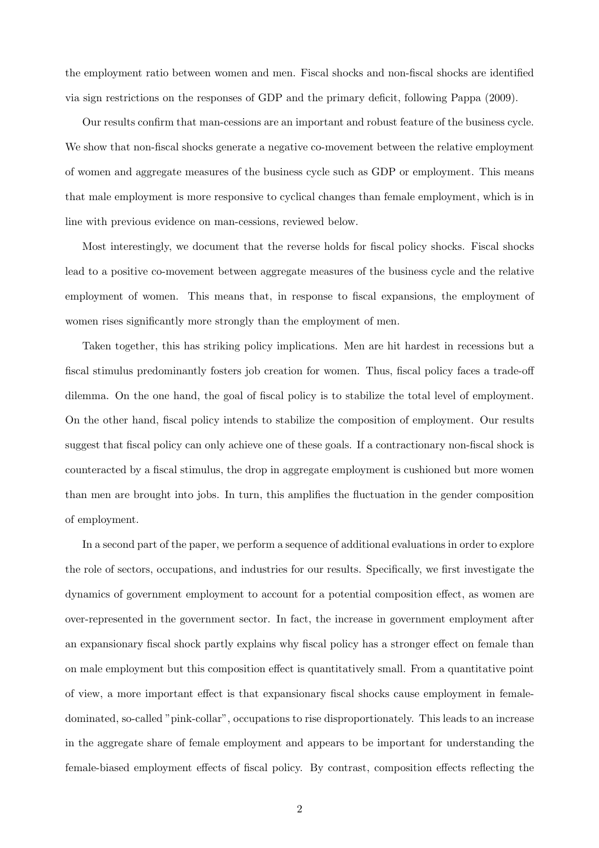the employment ratio between women and men. Fiscal shocks and non-fiscal shocks are identified via sign restrictions on the responses of GDP and the primary deficit, following Pappa (2009).

Our results confirm that man-cessions are an important and robust feature of the business cycle. We show that non-fiscal shocks generate a negative co-movement between the relative employment of women and aggregate measures of the business cycle such as GDP or employment. This means that male employment is more responsive to cyclical changes than female employment, which is in line with previous evidence on man-cessions, reviewed below.

Most interestingly, we document that the reverse holds for fiscal policy shocks. Fiscal shocks lead to a positive co-movement between aggregate measures of the business cycle and the relative employment of women. This means that, in response to fiscal expansions, the employment of women rises significantly more strongly than the employment of men.

Taken together, this has striking policy implications. Men are hit hardest in recessions but a fiscal stimulus predominantly fosters job creation for women. Thus, fiscal policy faces a trade-off dilemma. On the one hand, the goal of fiscal policy is to stabilize the total level of employment. On the other hand, fiscal policy intends to stabilize the composition of employment. Our results suggest that fiscal policy can only achieve one of these goals. If a contractionary non-fiscal shock is counteracted by a fiscal stimulus, the drop in aggregate employment is cushioned but more women than men are brought into jobs. In turn, this amplifies the fluctuation in the gender composition of employment.

In a second part of the paper, we perform a sequence of additional evaluations in order to explore the role of sectors, occupations, and industries for our results. Specifically, we first investigate the dynamics of government employment to account for a potential composition effect, as women are over-represented in the government sector. In fact, the increase in government employment after an expansionary fiscal shock partly explains why fiscal policy has a stronger effect on female than on male employment but this composition effect is quantitatively small. From a quantitative point of view, a more important effect is that expansionary fiscal shocks cause employment in femaledominated, so-called "pink-collar", occupations to rise disproportionately. This leads to an increase in the aggregate share of female employment and appears to be important for understanding the female-biased employment effects of fiscal policy. By contrast, composition effects reflecting the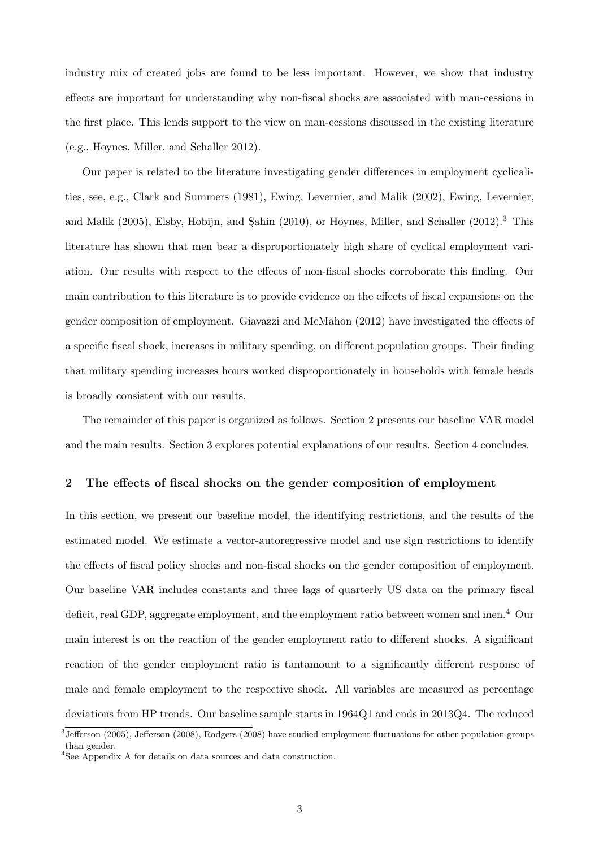industry mix of created jobs are found to be less important. However, we show that industry effects are important for understanding why non-fiscal shocks are associated with man-cessions in the first place. This lends support to the view on man-cessions discussed in the existing literature (e.g., Hoynes, Miller, and Schaller 2012).

Our paper is related to the literature investigating gender differences in employment cyclicalities, see, e.g., Clark and Summers (1981), Ewing, Levernier, and Malik (2002), Ewing, Levernier, and Malik (2005), Elsby, Hobijn, and Şahin (2010), or Hoynes, Miller, and Schaller (2012).<sup>3</sup> This literature has shown that men bear a disproportionately high share of cyclical employment variation. Our results with respect to the effects of non-fiscal shocks corroborate this finding. Our main contribution to this literature is to provide evidence on the effects of fiscal expansions on the gender composition of employment. Giavazzi and McMahon (2012) have investigated the effects of a specific fiscal shock, increases in military spending, on different population groups. Their finding that military spending increases hours worked disproportionately in households with female heads is broadly consistent with our results.

The remainder of this paper is organized as follows. Section 2 presents our baseline VAR model and the main results. Section 3 explores potential explanations of our results. Section 4 concludes.

## 2 The effects of fiscal shocks on the gender composition of employment

In this section, we present our baseline model, the identifying restrictions, and the results of the estimated model. We estimate a vector-autoregressive model and use sign restrictions to identify the effects of fiscal policy shocks and non-fiscal shocks on the gender composition of employment. Our baseline VAR includes constants and three lags of quarterly US data on the primary fiscal deficit, real GDP, aggregate employment, and the employment ratio between women and men.<sup>4</sup> Our main interest is on the reaction of the gender employment ratio to different shocks. A significant reaction of the gender employment ratio is tantamount to a significantly different response of male and female employment to the respective shock. All variables are measured as percentage deviations from HP trends. Our baseline sample starts in 1964Q1 and ends in 2013Q4. The reduced

<sup>3</sup> Jefferson (2005), Jefferson (2008), Rodgers (2008) have studied employment fluctuations for other population groups than gender.

<sup>4</sup>See Appendix A for details on data sources and data construction.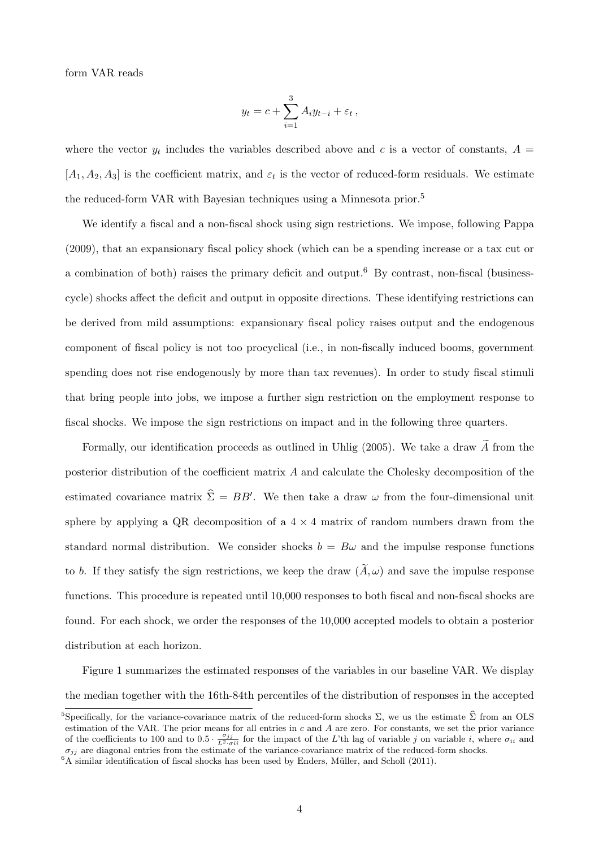form VAR reads

$$
y_t = c + \sum_{i=1}^3 A_i y_{t-i} + \varepsilon_t,
$$

where the vector  $y_t$  includes the variables described above and c is a vector of constants,  $A =$  $[A_1, A_2, A_3]$  is the coefficient matrix, and  $\varepsilon_t$  is the vector of reduced-form residuals. We estimate the reduced-form VAR with Bayesian techniques using a Minnesota prior.<sup>5</sup>

We identify a fiscal and a non-fiscal shock using sign restrictions. We impose, following Pappa (2009), that an expansionary fiscal policy shock (which can be a spending increase or a tax cut or a combination of both) raises the primary deficit and output.<sup>6</sup> By contrast, non-fiscal (businesscycle) shocks affect the deficit and output in opposite directions. These identifying restrictions can be derived from mild assumptions: expansionary fiscal policy raises output and the endogenous component of fiscal policy is not too procyclical (i.e., in non-fiscally induced booms, government spending does not rise endogenously by more than tax revenues). In order to study fiscal stimuli that bring people into jobs, we impose a further sign restriction on the employment response to fiscal shocks. We impose the sign restrictions on impact and in the following three quarters.

Formally, our identification proceeds as outlined in Uhlig (2005). We take a draw  $\widetilde{A}$  from the posterior distribution of the coefficient matrix A and calculate the Cholesky decomposition of the estimated covariance matrix  $\hat{\Sigma} = BB'$ . We then take a draw  $\omega$  from the four-dimensional unit sphere by applying a QR decomposition of a  $4 \times 4$  matrix of random numbers drawn from the standard normal distribution. We consider shocks  $b = B\omega$  and the impulse response functions to b. If they satisfy the sign restrictions, we keep the draw  $(\tilde{A}, \omega)$  and save the impulse response functions. This procedure is repeated until 10,000 responses to both fiscal and non-fiscal shocks are found. For each shock, we order the responses of the 10,000 accepted models to obtain a posterior distribution at each horizon.

Figure 1 summarizes the estimated responses of the variables in our baseline VAR. We display the median together with the 16th-84th percentiles of the distribution of responses in the accepted

<sup>&</sup>lt;sup>5</sup>Specifically, for the variance-covariance matrix of the reduced-form shocks  $\Sigma$ , we us the estimate  $\hat{\Sigma}$  from an OLS estimation of the VAR. The prior means for all entries in  $c$  and  $A$  are zero. For constants, we set the prior variance of the coefficients to 100 and to  $0.5 \cdot \frac{\sigma_{jj}}{L^2 \cdot \sigma_{ii}}$  for the impact of the L'th lag of variable j on variable i, where  $\sigma_{ii}$  and  $\sigma_{jj}$  are diagonal entries from the estimate of the variance-covariance matrix of the reduced-form shocks.

 ${}^{6}A$  similar identification of fiscal shocks has been used by Enders, Müller, and Scholl (2011).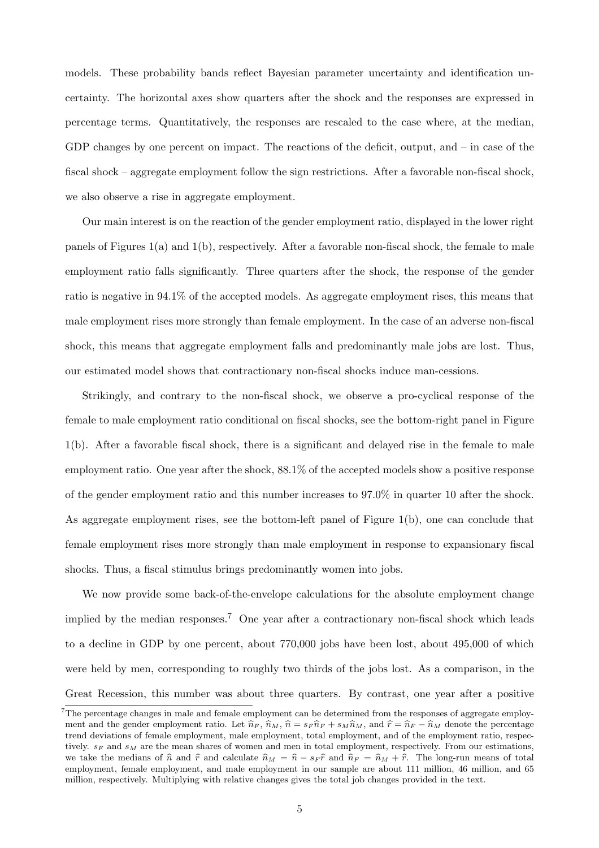models. These probability bands reflect Bayesian parameter uncertainty and identification uncertainty. The horizontal axes show quarters after the shock and the responses are expressed in percentage terms. Quantitatively, the responses are rescaled to the case where, at the median, GDP changes by one percent on impact. The reactions of the deficit, output, and – in case of the fiscal shock – aggregate employment follow the sign restrictions. After a favorable non-fiscal shock, we also observe a rise in aggregate employment.

Our main interest is on the reaction of the gender employment ratio, displayed in the lower right panels of Figures 1(a) and 1(b), respectively. After a favorable non-fiscal shock, the female to male employment ratio falls significantly. Three quarters after the shock, the response of the gender ratio is negative in 94.1% of the accepted models. As aggregate employment rises, this means that male employment rises more strongly than female employment. In the case of an adverse non-fiscal shock, this means that aggregate employment falls and predominantly male jobs are lost. Thus, our estimated model shows that contractionary non-fiscal shocks induce man-cessions.

Strikingly, and contrary to the non-fiscal shock, we observe a pro-cyclical response of the female to male employment ratio conditional on fiscal shocks, see the bottom-right panel in Figure 1(b). After a favorable fiscal shock, there is a significant and delayed rise in the female to male employment ratio. One year after the shock, 88.1% of the accepted models show a positive response of the gender employment ratio and this number increases to 97.0% in quarter 10 after the shock. As aggregate employment rises, see the bottom-left panel of Figure 1(b), one can conclude that female employment rises more strongly than male employment in response to expansionary fiscal shocks. Thus, a fiscal stimulus brings predominantly women into jobs.

We now provide some back-of-the-envelope calculations for the absolute employment change implied by the median responses.<sup>7</sup> One year after a contractionary non-fiscal shock which leads to a decline in GDP by one percent, about 770,000 jobs have been lost, about 495,000 of which were held by men, corresponding to roughly two thirds of the jobs lost. As a comparison, in the Great Recession, this number was about three quarters. By contrast, one year after a positive

 $7$ The percentage changes in male and female employment can be determined from the responses of aggregate employment and the gender employment ratio. Let  $\hat{n}_F$ ,  $\hat{n}_M$ ,  $\hat{n} = s_F \hat{n}_F + s_M \hat{n}_M$ , and  $\hat{r} = \hat{n}_F - \hat{n}_M$  denote the percentage trend deviations of female employment, male employment, total employment, and of the employment ratio, respectively.  $s_F$  and  $s_M$  are the mean shares of women and men in total employment, respectively. From our estimations, we take the medians of  $\hat{n}$  and  $\hat{r}$  and calculate  $\hat{n}_M = \hat{n} - s_F \hat{r}$  and  $\hat{n}_F = \hat{n}_M + \hat{r}$ . The long-run means of total employment, female employment, and male employment in our sample are about 111 million, 46 million, and 65 million, respectively. Multiplying with relative changes gives the total job changes provided in the text.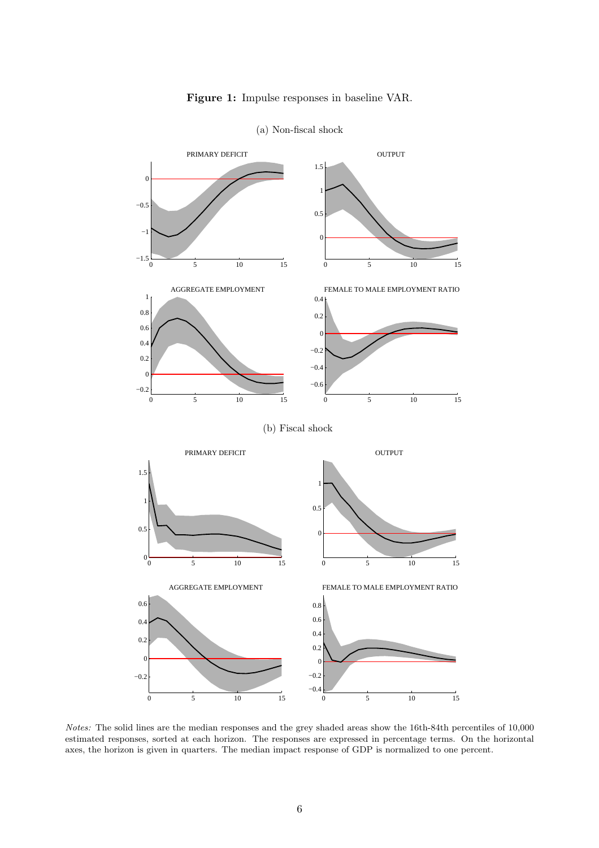



(a) Non-fiscal shock

Notes: The solid lines are the median responses and the grey shaded areas show the 16th-84th percentiles of 10,000 estimated responses, sorted at each horizon. The responses are expressed in percentage terms. On the horizontal axes, the horizon is given in quarters. The median impact response of GDP is normalized to one percent.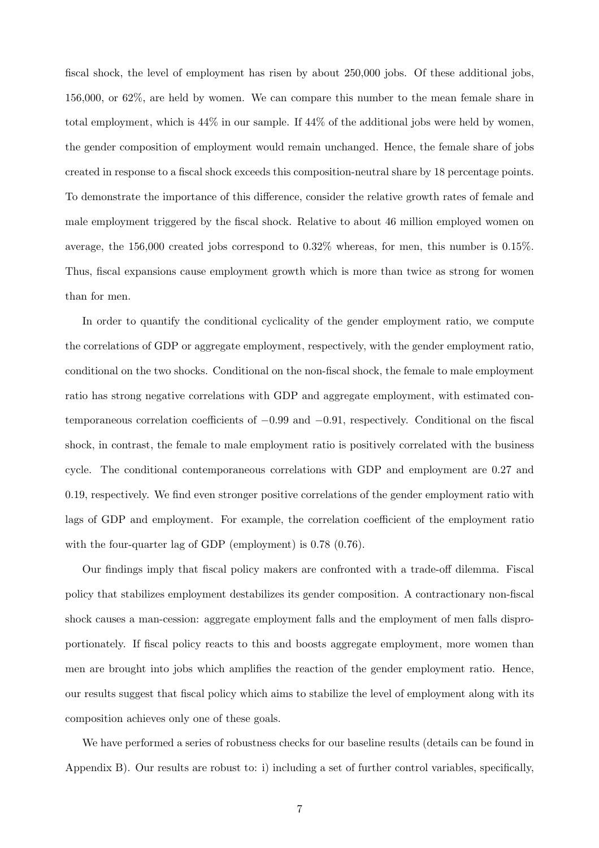fiscal shock, the level of employment has risen by about 250,000 jobs. Of these additional jobs, 156,000, or 62%, are held by women. We can compare this number to the mean female share in total employment, which is 44% in our sample. If 44% of the additional jobs were held by women, the gender composition of employment would remain unchanged. Hence, the female share of jobs created in response to a fiscal shock exceeds this composition-neutral share by 18 percentage points. To demonstrate the importance of this difference, consider the relative growth rates of female and male employment triggered by the fiscal shock. Relative to about 46 million employed women on average, the 156,000 created jobs correspond to 0.32% whereas, for men, this number is 0.15%. Thus, fiscal expansions cause employment growth which is more than twice as strong for women than for men.

In order to quantify the conditional cyclicality of the gender employment ratio, we compute the correlations of GDP or aggregate employment, respectively, with the gender employment ratio, conditional on the two shocks. Conditional on the non-fiscal shock, the female to male employment ratio has strong negative correlations with GDP and aggregate employment, with estimated contemporaneous correlation coefficients of −0.99 and −0.91, respectively. Conditional on the fiscal shock, in contrast, the female to male employment ratio is positively correlated with the business cycle. The conditional contemporaneous correlations with GDP and employment are 0.27 and 0.19, respectively. We find even stronger positive correlations of the gender employment ratio with lags of GDP and employment. For example, the correlation coefficient of the employment ratio with the four-quarter lag of GDP (employment) is 0.78 (0.76).

Our findings imply that fiscal policy makers are confronted with a trade-off dilemma. Fiscal policy that stabilizes employment destabilizes its gender composition. A contractionary non-fiscal shock causes a man-cession: aggregate employment falls and the employment of men falls disproportionately. If fiscal policy reacts to this and boosts aggregate employment, more women than men are brought into jobs which amplifies the reaction of the gender employment ratio. Hence, our results suggest that fiscal policy which aims to stabilize the level of employment along with its composition achieves only one of these goals.

We have performed a series of robustness checks for our baseline results (details can be found in Appendix B). Our results are robust to: i) including a set of further control variables, specifically,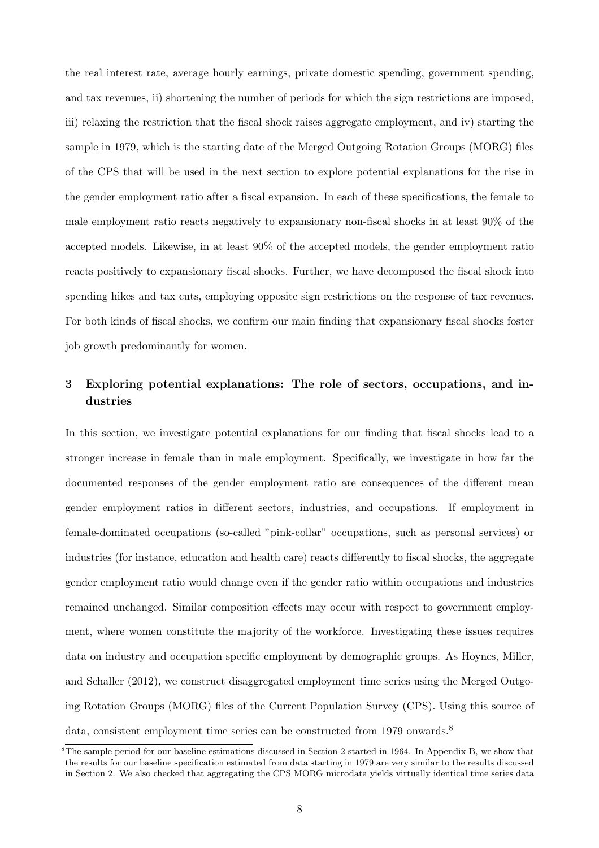the real interest rate, average hourly earnings, private domestic spending, government spending, and tax revenues, ii) shortening the number of periods for which the sign restrictions are imposed, iii) relaxing the restriction that the fiscal shock raises aggregate employment, and iv) starting the sample in 1979, which is the starting date of the Merged Outgoing Rotation Groups (MORG) files of the CPS that will be used in the next section to explore potential explanations for the rise in the gender employment ratio after a fiscal expansion. In each of these specifications, the female to male employment ratio reacts negatively to expansionary non-fiscal shocks in at least 90% of the accepted models. Likewise, in at least 90% of the accepted models, the gender employment ratio reacts positively to expansionary fiscal shocks. Further, we have decomposed the fiscal shock into spending hikes and tax cuts, employing opposite sign restrictions on the response of tax revenues. For both kinds of fiscal shocks, we confirm our main finding that expansionary fiscal shocks foster job growth predominantly for women.

## 3 Exploring potential explanations: The role of sectors, occupations, and industries

In this section, we investigate potential explanations for our finding that fiscal shocks lead to a stronger increase in female than in male employment. Specifically, we investigate in how far the documented responses of the gender employment ratio are consequences of the different mean gender employment ratios in different sectors, industries, and occupations. If employment in female-dominated occupations (so-called "pink-collar" occupations, such as personal services) or industries (for instance, education and health care) reacts differently to fiscal shocks, the aggregate gender employment ratio would change even if the gender ratio within occupations and industries remained unchanged. Similar composition effects may occur with respect to government employment, where women constitute the majority of the workforce. Investigating these issues requires data on industry and occupation specific employment by demographic groups. As Hoynes, Miller, and Schaller (2012), we construct disaggregated employment time series using the Merged Outgoing Rotation Groups (MORG) files of the Current Population Survey (CPS). Using this source of data, consistent employment time series can be constructed from 1979 onwards.<sup>8</sup>

 ${}^{8}$ The sample period for our baseline estimations discussed in Section 2 started in 1964. In Appendix B, we show that the results for our baseline specification estimated from data starting in 1979 are very similar to the results discussed in Section 2. We also checked that aggregating the CPS MORG microdata yields virtually identical time series data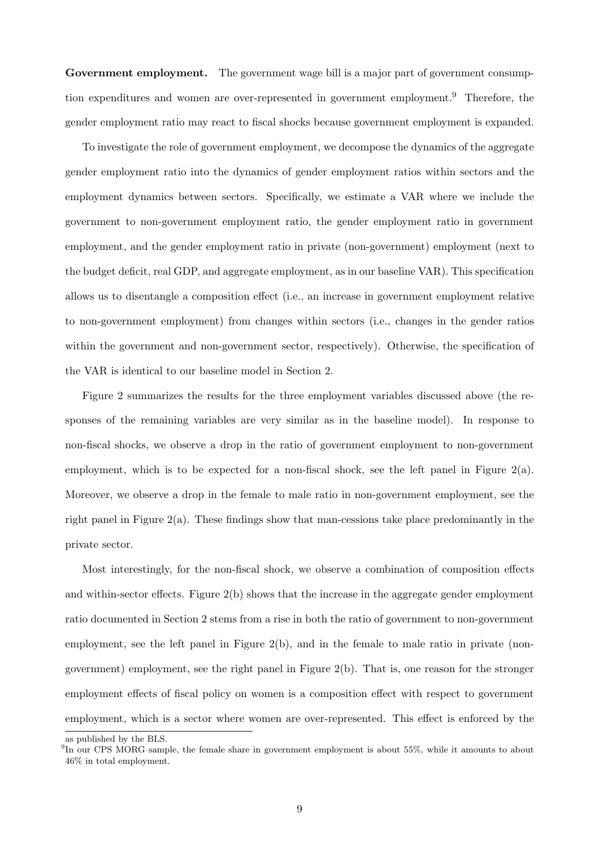Government employment. The government wage bill is a major part of government consumption expenditures and women are over-represented in government employment.<sup>9</sup> Therefore, the gender employment ratio may react to fiscal shocks because government employment is expanded.

To investigate the role of government employment, we decompose the dynamics of the aggregate gender employment ratio into the dynamics of gender employment ratios within sectors and the employment dynamics between sectors. Specifically, we estimate a VAR where we include the government to non-government employment ratio, the gender employment ratio in government employment, and the gender employment ratio in private (non-government) employment (next to the budget deficit, real GDP, and aggregate employment, as in our baseline VAR). This specification allows us to disentangle a composition effect (i.e., an increase in government employment relative to non-government employment) from changes within sectors (i.e., changes in the gender ratios within the government and non-government sector, respectively). Otherwise, the specification of the VAR is identical to our baseline model in Section 2.

Figure 2 summarizes the results for the three employment variables discussed above (the responses of the remaining variables are very similar as in the baseline model). In response to non-fiscal shocks, we observe a drop in the ratio of government employment to non-government employment, which is to be expected for a non-fiscal shock, see the left panel in Figure  $2(a)$ . Moreover, we observe a drop in the female to male ratio in non-government employment, see the right panel in Figure  $2(a)$ . These findings show that man-cessions take place predominantly in the private sector.

Most interestingly, for the non-fiscal shock, we observe a combination of composition effects and within-sector effects. Figure 2(b) shows that the increase in the aggregate gender employment ratio documented in Section 2 stems from a rise in both the ratio of government to non-government employment, see the left panel in Figure 2(b), and in the female to male ratio in private (nongovernment) employment, see the right panel in Figure 2(b). That is, one reason for the stronger employment effects of fiscal policy on women is a composition effect with respect to government employment, which is a sector where women are over-represented. This effect is enforced by the

as published by the BLS.

<sup>&</sup>lt;sup>9</sup>In our CPS MORG sample, the female share in government employment is about 55%, while it amounts to about 46% in total employment.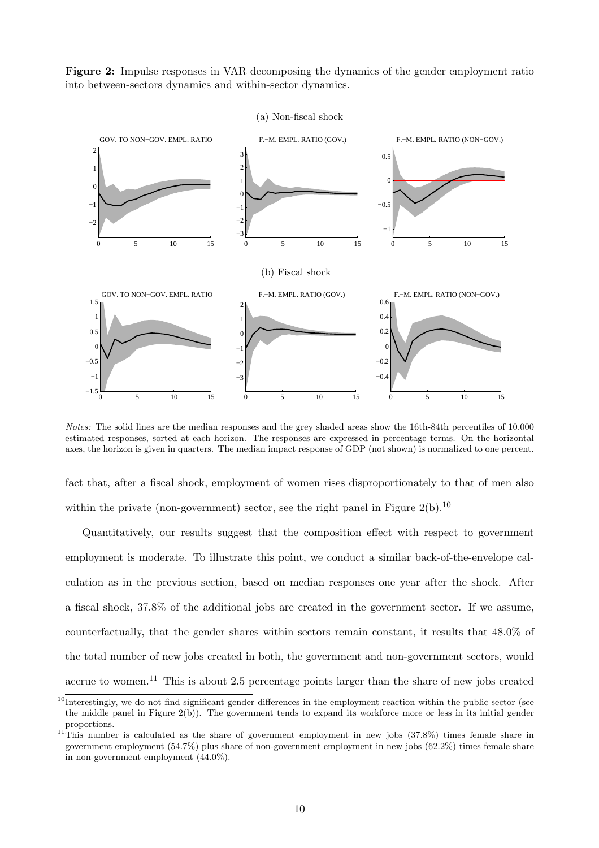Figure 2: Impulse responses in VAR decomposing the dynamics of the gender employment ratio into between-sectors dynamics and within-sector dynamics.



Notes: The solid lines are the median responses and the grey shaded areas show the 16th-84th percentiles of 10,000 estimated responses, sorted at each horizon. The responses are expressed in percentage terms. On the horizontal axes, the horizon is given in quarters. The median impact response of GDP (not shown) is normalized to one percent.

fact that, after a fiscal shock, employment of women rises disproportionately to that of men also within the private (non-government) sector, see the right panel in Figure  $2(b)$ .<sup>10</sup>

Quantitatively, our results suggest that the composition effect with respect to government employment is moderate. To illustrate this point, we conduct a similar back-of-the-envelope calculation as in the previous section, based on median responses one year after the shock. After a fiscal shock, 37.8% of the additional jobs are created in the government sector. If we assume, counterfactually, that the gender shares within sectors remain constant, it results that 48.0% of the total number of new jobs created in both, the government and non-government sectors, would accrue to women.<sup>11</sup> This is about 2.5 percentage points larger than the share of new jobs created

 $10$ Interestingly, we do not find significant gender differences in the employment reaction within the public sector (see the middle panel in Figure 2(b)). The government tends to expand its workforce more or less in its initial gender proportions.

<sup>&</sup>lt;sup>11</sup>This number is calculated as the share of government employment in new jobs  $(37.8\%)$  times female share in government employment (54.7%) plus share of non-government employment in new jobs (62.2%) times female share in non-government employment (44.0%).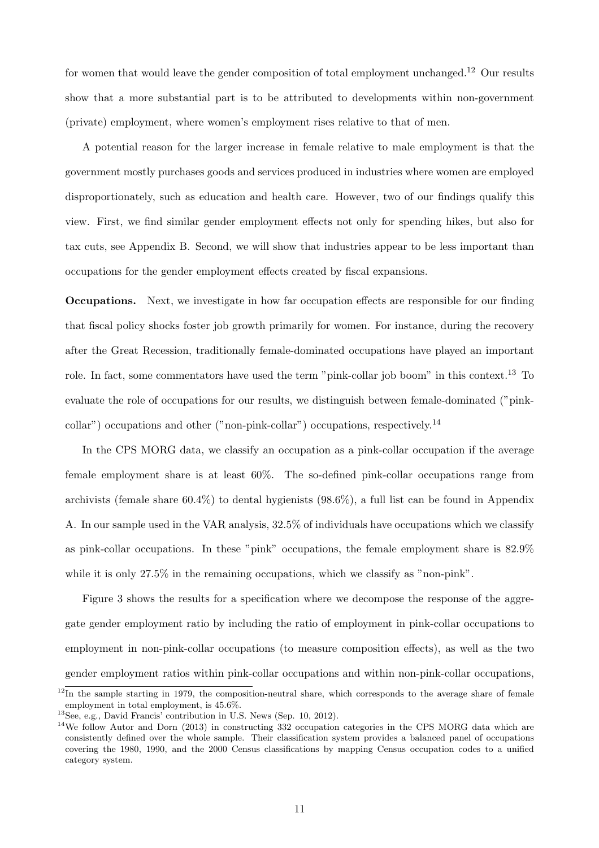for women that would leave the gender composition of total employment unchanged.<sup>12</sup> Our results show that a more substantial part is to be attributed to developments within non-government (private) employment, where women's employment rises relative to that of men.

A potential reason for the larger increase in female relative to male employment is that the government mostly purchases goods and services produced in industries where women are employed disproportionately, such as education and health care. However, two of our findings qualify this view. First, we find similar gender employment effects not only for spending hikes, but also for tax cuts, see Appendix B. Second, we will show that industries appear to be less important than occupations for the gender employment effects created by fiscal expansions.

Occupations. Next, we investigate in how far occupation effects are responsible for our finding that fiscal policy shocks foster job growth primarily for women. For instance, during the recovery after the Great Recession, traditionally female-dominated occupations have played an important role. In fact, some commentators have used the term "pink-collar job boom" in this context.<sup>13</sup> To evaluate the role of occupations for our results, we distinguish between female-dominated ("pinkcollar") occupations and other ("non-pink-collar") occupations, respectively.<sup>14</sup>

In the CPS MORG data, we classify an occupation as a pink-collar occupation if the average female employment share is at least 60%. The so-defined pink-collar occupations range from archivists (female share 60.4%) to dental hygienists (98.6%), a full list can be found in Appendix A. In our sample used in the VAR analysis, 32.5% of individuals have occupations which we classify as pink-collar occupations. In these "pink" occupations, the female employment share is 82.9% while it is only 27.5% in the remaining occupations, which we classify as "non-pink".

Figure 3 shows the results for a specification where we decompose the response of the aggregate gender employment ratio by including the ratio of employment in pink-collar occupations to employment in non-pink-collar occupations (to measure composition effects), as well as the two gender employment ratios within pink-collar occupations and within non-pink-collar occupations,

 $12$ In the sample starting in 1979, the composition-neutral share, which corresponds to the average share of female employment in total employment, is 45.6%.

<sup>13</sup>See, e.g., David Francis' contribution in U.S. News (Sep. 10, 2012).

 $14$ We follow Autor and Dorn (2013) in constructing 332 occupation categories in the CPS MORG data which are consistently defined over the whole sample. Their classification system provides a balanced panel of occupations covering the 1980, 1990, and the 2000 Census classifications by mapping Census occupation codes to a unified category system.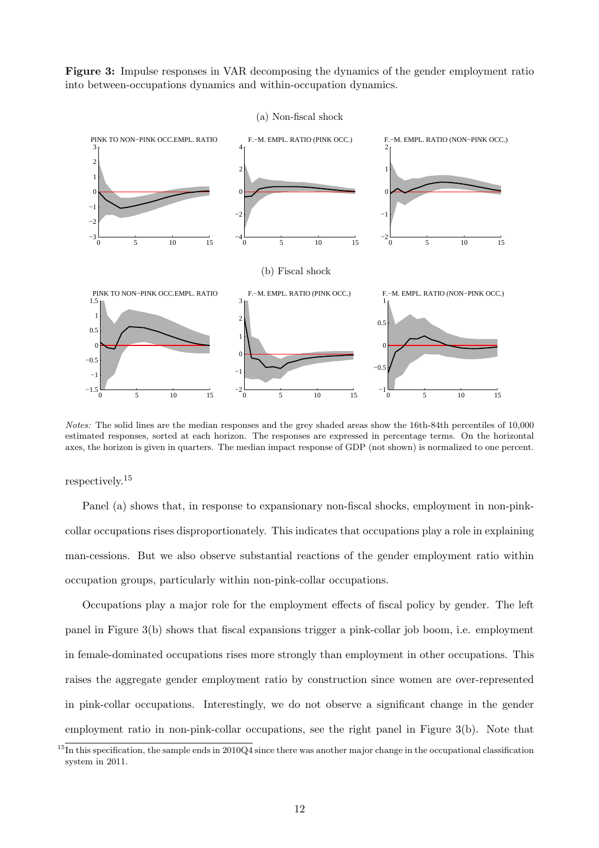Figure 3: Impulse responses in VAR decomposing the dynamics of the gender employment ratio into between-occupations dynamics and within-occupation dynamics.



Notes: The solid lines are the median responses and the grey shaded areas show the 16th-84th percentiles of 10,000 estimated responses, sorted at each horizon. The responses are expressed in percentage terms. On the horizontal axes, the horizon is given in quarters. The median impact response of GDP (not shown) is normalized to one percent.

respectively.<sup>15</sup>

Panel (a) shows that, in response to expansionary non-fiscal shocks, employment in non-pinkcollar occupations rises disproportionately. This indicates that occupations play a role in explaining man-cessions. But we also observe substantial reactions of the gender employment ratio within occupation groups, particularly within non-pink-collar occupations.

Occupations play a major role for the employment effects of fiscal policy by gender. The left panel in Figure 3(b) shows that fiscal expansions trigger a pink-collar job boom, i.e. employment in female-dominated occupations rises more strongly than employment in other occupations. This raises the aggregate gender employment ratio by construction since women are over-represented in pink-collar occupations. Interestingly, we do not observe a significant change in the gender employment ratio in non-pink-collar occupations, see the right panel in Figure 3(b). Note that

 $15$ In this specification, the sample ends in 2010Q4 since there was another major change in the occupational classification system in 2011.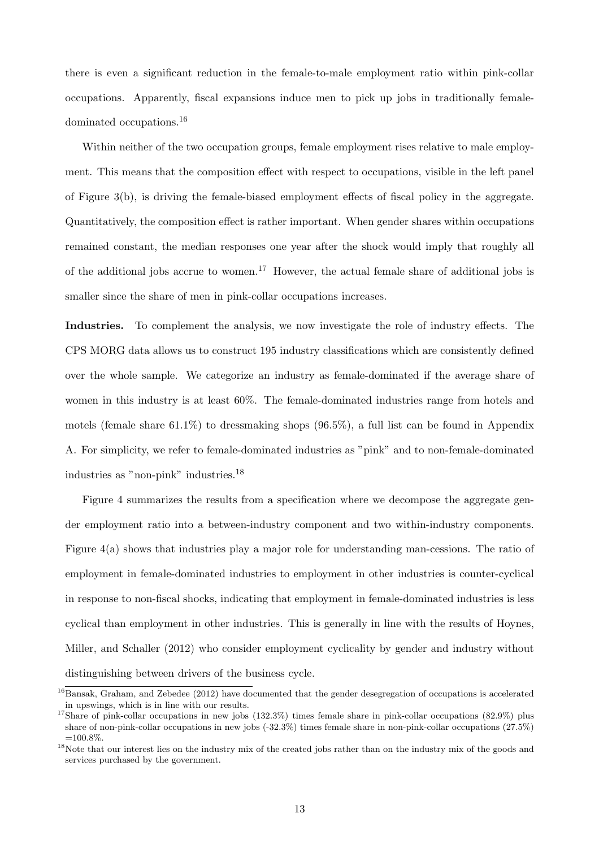there is even a significant reduction in the female-to-male employment ratio within pink-collar occupations. Apparently, fiscal expansions induce men to pick up jobs in traditionally femaledominated occupations.<sup>16</sup>

Within neither of the two occupation groups, female employment rises relative to male employment. This means that the composition effect with respect to occupations, visible in the left panel of Figure 3(b), is driving the female-biased employment effects of fiscal policy in the aggregate. Quantitatively, the composition effect is rather important. When gender shares within occupations remained constant, the median responses one year after the shock would imply that roughly all of the additional jobs accrue to women.<sup>17</sup> However, the actual female share of additional jobs is smaller since the share of men in pink-collar occupations increases.

Industries. To complement the analysis, we now investigate the role of industry effects. The CPS MORG data allows us to construct 195 industry classifications which are consistently defined over the whole sample. We categorize an industry as female-dominated if the average share of women in this industry is at least 60%. The female-dominated industries range from hotels and motels (female share  $61.1\%$ ) to dressmaking shops (96.5%), a full list can be found in Appendix A. For simplicity, we refer to female-dominated industries as "pink" and to non-female-dominated industries as "non-pink" industries.<sup>18</sup>

Figure 4 summarizes the results from a specification where we decompose the aggregate gender employment ratio into a between-industry component and two within-industry components. Figure 4(a) shows that industries play a major role for understanding man-cessions. The ratio of employment in female-dominated industries to employment in other industries is counter-cyclical in response to non-fiscal shocks, indicating that employment in female-dominated industries is less cyclical than employment in other industries. This is generally in line with the results of Hoynes, Miller, and Schaller (2012) who consider employment cyclicality by gender and industry without distinguishing between drivers of the business cycle.

 $^{16}$ Bansak, Graham, and Zebedee (2012) have documented that the gender desegregation of occupations is accelerated in upswings, which is in line with our results.

<sup>&</sup>lt;sup>17</sup>Share of pink-collar occupations in new jobs (132.3%) times female share in pink-collar occupations (82.9%) plus share of non-pink-collar occupations in new jobs (-32.3%) times female share in non-pink-collar occupations (27.5%)  $=100.8\%$ 

<sup>&</sup>lt;sup>18</sup>Note that our interest lies on the industry mix of the created jobs rather than on the industry mix of the goods and services purchased by the government.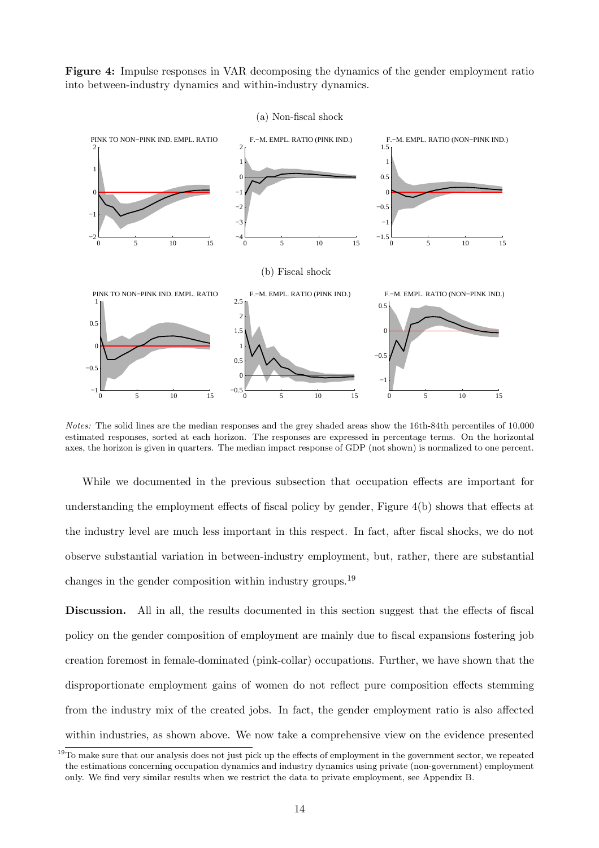Figure 4: Impulse responses in VAR decomposing the dynamics of the gender employment ratio into between-industry dynamics and within-industry dynamics.





Notes: The solid lines are the median responses and the grey shaded areas show the 16th-84th percentiles of 10,000 estimated responses, sorted at each horizon. The responses are expressed in percentage terms. On the horizontal axes, the horizon is given in quarters. The median impact response of GDP (not shown) is normalized to one percent.

While we documented in the previous subsection that occupation effects are important for understanding the employment effects of fiscal policy by gender, Figure 4(b) shows that effects at the industry level are much less important in this respect. In fact, after fiscal shocks, we do not observe substantial variation in between-industry employment, but, rather, there are substantial changes in the gender composition within industry groups.<sup>19</sup>

Discussion. All in all, the results documented in this section suggest that the effects of fiscal policy on the gender composition of employment are mainly due to fiscal expansions fostering job creation foremost in female-dominated (pink-collar) occupations. Further, we have shown that the disproportionate employment gains of women do not reflect pure composition effects stemming from the industry mix of the created jobs. In fact, the gender employment ratio is also affected within industries, as shown above. We now take a comprehensive view on the evidence presented

 $19$ To make sure that our analysis does not just pick up the effects of employment in the government sector, we repeated the estimations concerning occupation dynamics and industry dynamics using private (non-government) employment only. We find very similar results when we restrict the data to private employment, see Appendix B.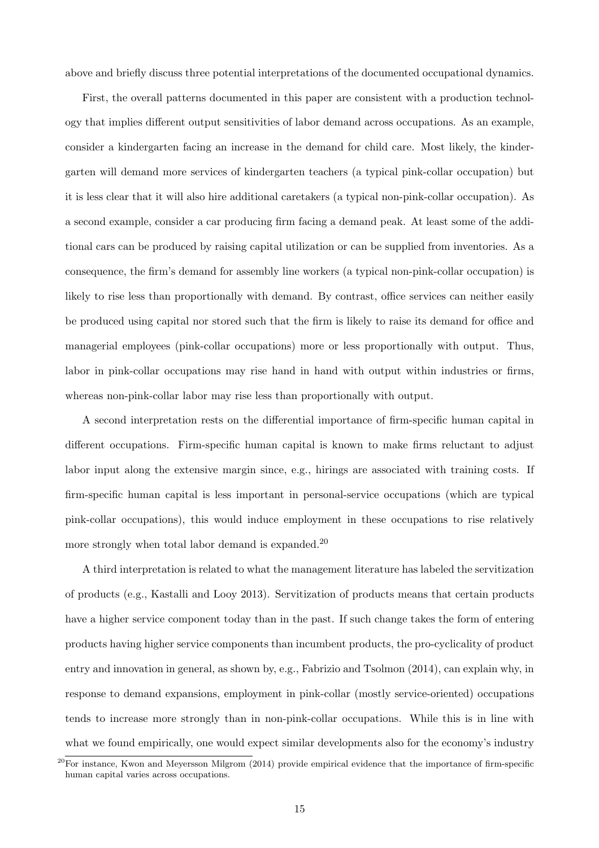above and briefly discuss three potential interpretations of the documented occupational dynamics.

First, the overall patterns documented in this paper are consistent with a production technology that implies different output sensitivities of labor demand across occupations. As an example, consider a kindergarten facing an increase in the demand for child care. Most likely, the kindergarten will demand more services of kindergarten teachers (a typical pink-collar occupation) but it is less clear that it will also hire additional caretakers (a typical non-pink-collar occupation). As a second example, consider a car producing firm facing a demand peak. At least some of the additional cars can be produced by raising capital utilization or can be supplied from inventories. As a consequence, the firm's demand for assembly line workers (a typical non-pink-collar occupation) is likely to rise less than proportionally with demand. By contrast, office services can neither easily be produced using capital nor stored such that the firm is likely to raise its demand for office and managerial employees (pink-collar occupations) more or less proportionally with output. Thus, labor in pink-collar occupations may rise hand in hand with output within industries or firms, whereas non-pink-collar labor may rise less than proportionally with output.

A second interpretation rests on the differential importance of firm-specific human capital in different occupations. Firm-specific human capital is known to make firms reluctant to adjust labor input along the extensive margin since, e.g., hirings are associated with training costs. If firm-specific human capital is less important in personal-service occupations (which are typical pink-collar occupations), this would induce employment in these occupations to rise relatively more strongly when total labor demand is expanded.<sup>20</sup>

A third interpretation is related to what the management literature has labeled the servitization of products (e.g., Kastalli and Looy 2013). Servitization of products means that certain products have a higher service component today than in the past. If such change takes the form of entering products having higher service components than incumbent products, the pro-cyclicality of product entry and innovation in general, as shown by, e.g., Fabrizio and Tsolmon (2014), can explain why, in response to demand expansions, employment in pink-collar (mostly service-oriented) occupations tends to increase more strongly than in non-pink-collar occupations. While this is in line with what we found empirically, one would expect similar developments also for the economy's industry

 $^{20}$ For instance, Kwon and Meyersson Milgrom (2014) provide empirical evidence that the importance of firm-specific human capital varies across occupations.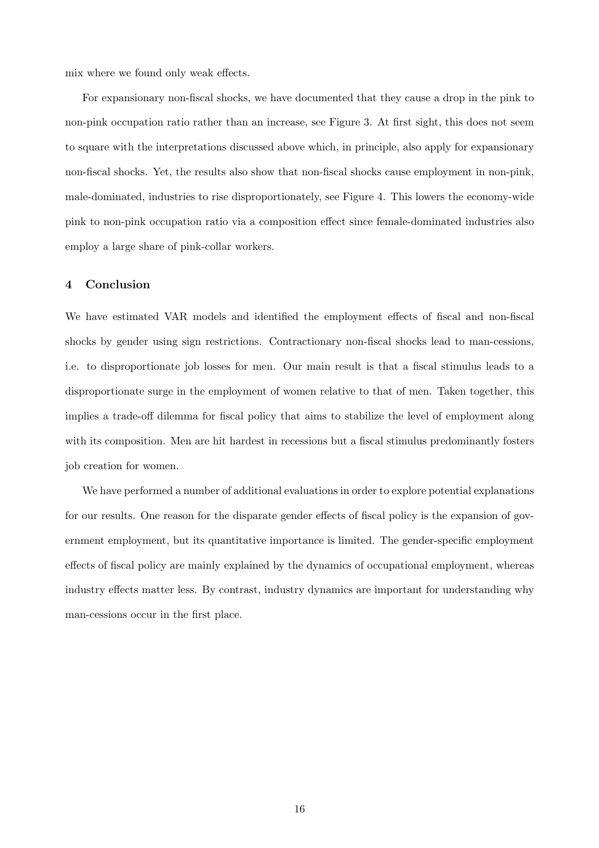mix where we found only weak effects.

For expansionary non-fiscal shocks, we have documented that they cause a drop in the pink to non-pink occupation ratio rather than an increase, see Figure 3. At first sight, this does not seem to square with the interpretations discussed above which, in principle, also apply for expansionary non-fiscal shocks. Yet, the results also show that non-fiscal shocks cause employment in non-pink, male-dominated, industries to rise disproportionately, see Figure 4. This lowers the economy-wide pink to non-pink occupation ratio via a composition effect since female-dominated industries also employ a large share of pink-collar workers.

### 4 Conclusion

We have estimated VAR models and identified the employment effects of fiscal and non-fiscal shocks by gender using sign restrictions. Contractionary non-fiscal shocks lead to man-cessions, i.e. to disproportionate job losses for men. Our main result is that a fiscal stimulus leads to a disproportionate surge in the employment of women relative to that of men. Taken together, this implies a trade-off dilemma for fiscal policy that aims to stabilize the level of employment along with its composition. Men are hit hardest in recessions but a fiscal stimulus predominantly fosters job creation for women.

We have performed a number of additional evaluations in order to explore potential explanations for our results. One reason for the disparate gender effects of fiscal policy is the expansion of government employment, but its quantitative importance is limited. The gender-specific employment effects of fiscal policy are mainly explained by the dynamics of occupational employment, whereas industry effects matter less. By contrast, industry dynamics are important for understanding why man-cessions occur in the first place.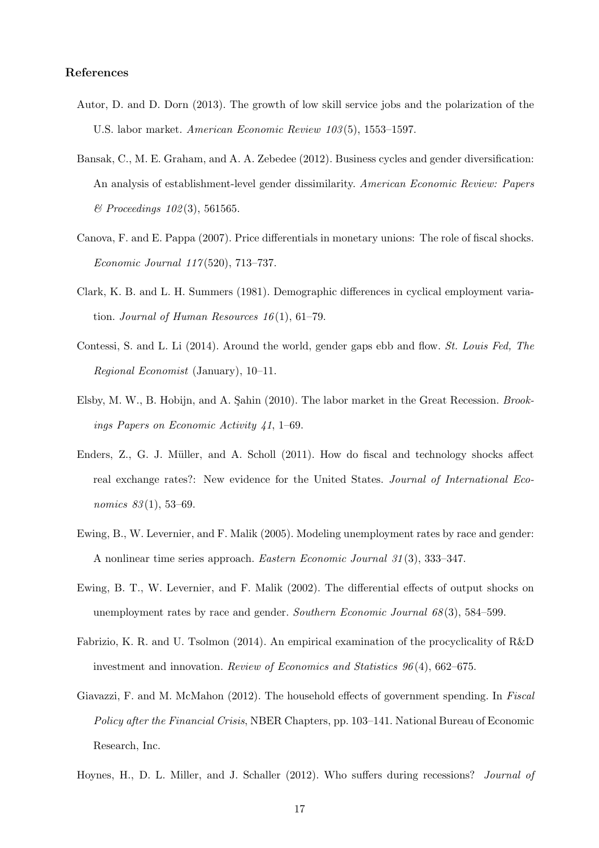## References

- Autor, D. and D. Dorn (2013). The growth of low skill service jobs and the polarization of the U.S. labor market. *American Economic Review 103* (5), 1553–1597.
- Bansak, C., M. E. Graham, and A. A. Zebedee (2012). Business cycles and gender diversification: An analysis of establishment-level gender dissimilarity. *American Economic Review: Papers & Proceedings 102* (3), 561565.
- Canova, F. and E. Pappa (2007). Price differentials in monetary unions: The role of fiscal shocks. *Economic Journal 117* (520), 713–737.
- Clark, K. B. and L. H. Summers (1981). Demographic differences in cyclical employment variation. *Journal of Human Resources 16* (1), 61–79.
- Contessi, S. and L. Li (2014). Around the world, gender gaps ebb and flow. *St. Louis Fed, The Regional Economist* (January), 10–11.
- Elsby, M. W., B. Hobijn, and A. Sahin (2010). The labor market in the Great Recession. *Brookings Papers on Economic Activity 41*, 1–69.
- Enders, Z., G. J. Müller, and A. Scholl (2011). How do fiscal and technology shocks affect real exchange rates?: New evidence for the United States. *Journal of International Economics 83* (1), 53–69.
- Ewing, B., W. Levernier, and F. Malik (2005). Modeling unemployment rates by race and gender: A nonlinear time series approach. *Eastern Economic Journal 31* (3), 333–347.
- Ewing, B. T., W. Levernier, and F. Malik (2002). The differential effects of output shocks on unemployment rates by race and gender. *Southern Economic Journal 68* (3), 584–599.
- Fabrizio, K. R. and U. Tsolmon (2014). An empirical examination of the procyclicality of R&D investment and innovation. *Review of Economics and Statistics 96* (4), 662–675.
- Giavazzi, F. and M. McMahon (2012). The household effects of government spending. In *Fiscal Policy after the Financial Crisis*, NBER Chapters, pp. 103–141. National Bureau of Economic Research, Inc.
- Hoynes, H., D. L. Miller, and J. Schaller (2012). Who suffers during recessions? *Journal of*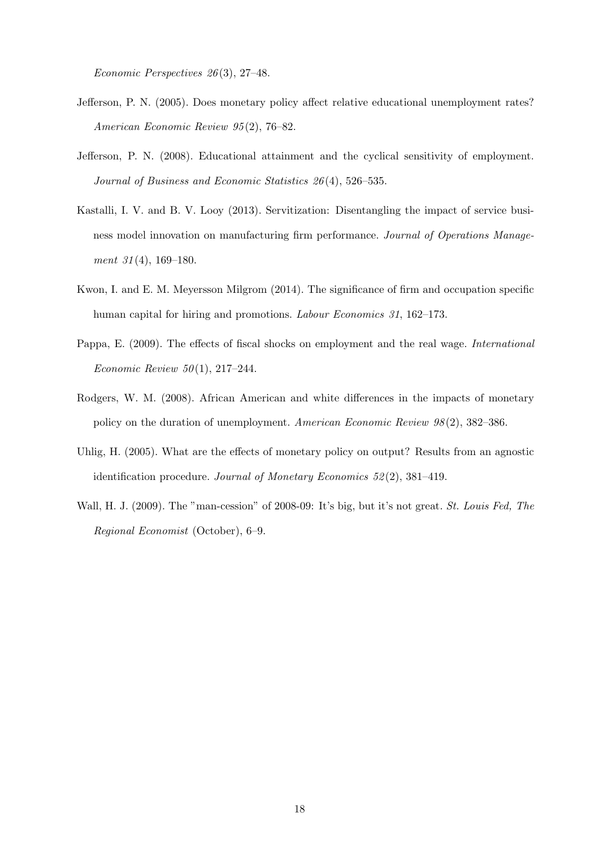*Economic Perspectives 26* (3), 27–48.

- Jefferson, P. N. (2005). Does monetary policy affect relative educational unemployment rates? *American Economic Review 95* (2), 76–82.
- Jefferson, P. N. (2008). Educational attainment and the cyclical sensitivity of employment. *Journal of Business and Economic Statistics 26* (4), 526–535.
- Kastalli, I. V. and B. V. Looy (2013). Servitization: Disentangling the impact of service business model innovation on manufacturing firm performance. *Journal of Operations Management 31* (4), 169–180.
- Kwon, I. and E. M. Meyersson Milgrom (2014). The significance of firm and occupation specific human capital for hiring and promotions. *Labour Economics 31*, 162–173.
- Pappa, E. (2009). The effects of fiscal shocks on employment and the real wage. *International Economic Review 50* (1), 217–244.
- Rodgers, W. M. (2008). African American and white differences in the impacts of monetary policy on the duration of unemployment. *American Economic Review 98* (2), 382–386.
- Uhlig, H. (2005). What are the effects of monetary policy on output? Results from an agnostic identification procedure. *Journal of Monetary Economics 52* (2), 381–419.
- Wall, H. J. (2009). The "man-cession" of 2008-09: It's big, but it's not great. *St. Louis Fed, The Regional Economist* (October), 6–9.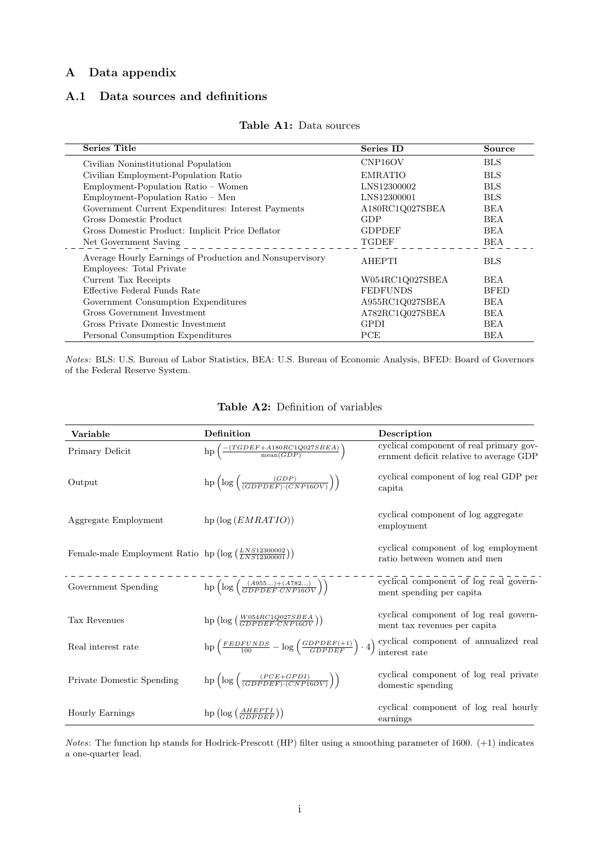## A Data appendix

## A.1 Data sources and definitions

| <b>Series Title</b>                                                                  | Series ID            | <b>Source</b> |
|--------------------------------------------------------------------------------------|----------------------|---------------|
| Civilian Noninstitutional Population                                                 | CNP <sub>16</sub> OV | <b>BLS</b>    |
| Civilian Employment-Population Ratio                                                 | <b>EMRATIO</b>       | <b>BLS</b>    |
| Employment-Population Ratio - Women                                                  | LNS12300002          | <b>BLS</b>    |
| Employment-Population Ratio - Men                                                    | LNS12300001          | <b>BLS</b>    |
| Government Current Expenditures: Interest Payments                                   | A180RC1Q027SBEA      | <b>BEA</b>    |
| Gross Domestic Product                                                               | GDP                  | <b>BEA</b>    |
| Gross Domestic Product: Implicit Price Deflator                                      | <b>GDPDEF</b>        | <b>BEA</b>    |
| Net Government Saving                                                                | <b>TGDEF</b>         | <b>BEA</b>    |
| Average Hourly Earnings of Production and Nonsupervisory<br>Employees: Total Private | <b>AHEPTI</b>        | <b>BLS</b>    |
| Current Tax Receipts                                                                 | W054RC1Q027SBEA      | <b>BEA</b>    |
| Effective Federal Funds Rate                                                         | <b>FEDFUNDS</b>      | <b>BFED</b>   |
| Government Consumption Expenditures                                                  | A955RC1Q027SBEA      | <b>BEA</b>    |
| Gross Government Investment                                                          | A782RC1Q027SBEA      | <b>BEA</b>    |
| Gross Private Domestic Investment                                                    | <b>GPDI</b>          | <b>BEA</b>    |
| Personal Consumption Expenditures                                                    | PCE                  | BEA           |

#### Table A1: Data sources

Notes: BLS: U.S. Bureau of Labor Statistics, BEA: U.S. Bureau of Economic Analysis, BFED: Board of Governors of the Federal Reserve System.

| Variable                                                                   | Definition                                                                                                                                                                  | Description                                                                        |
|----------------------------------------------------------------------------|-----------------------------------------------------------------------------------------------------------------------------------------------------------------------------|------------------------------------------------------------------------------------|
| Primary Deficit                                                            | $\mathrm{hp}\left(\tfrac{-(TGDEF + A180RC1Q027SBEA)}{\mathrm{mean}(GDP)}\right)$                                                                                            | cyclical component of real primary gov-<br>ernment deficit relative to average GDP |
| Output                                                                     | hp $\left(\log\left(\frac{(GDP)}{(GDPDEF)\cdot(CNP16OV)}\right)\right)$                                                                                                     | cyclical component of log real GDP per<br>capita                                   |
| Aggregate Employment                                                       | hp $(\log (EMRATIO))$                                                                                                                                                       | cyclical component of log aggregate<br>employment                                  |
| Female-male Employment Ratio hp $(\log (\frac{LNS12300002}{LNS12300001}))$ |                                                                                                                                                                             | cyclical component of log employment<br>ratio between women and men                |
| Government Spending                                                        | hp $\log\left(\frac{(A955)+(A782)}{GDPDEF \cdot CNP16OV}\right)$                                                                                                            | cyclical component of log real govern-<br>ment spending per capita                 |
| Tax Revenues                                                               | $\ln\left(\log\left(\frac{W054RC1Q027SBEA}{GDPDFE,CNP16OV}\right)\right)$                                                                                                   | cyclical component of log real govern-<br>ment tax revenues per capita             |
| Real interest rate                                                         | $\mathrm{hp}\left(\frac{\mathit{FEDFUNDS}}{100} - \mathrm{log}\left(\frac{\mathit{GDPDEF}(+1)}{\mathit{GDPDEF}}\right)\cdot 4\right)$ cyclical component of annualized real |                                                                                    |
| Private Domestic Spending                                                  | hp $\left(\log\left(\frac{(PCE+GPDI)}{(GDPDEF)\cdot(CNP16OV)}\right)\right)$                                                                                                | cyclical component of log real private<br>domestic spending                        |
| <b>Hourly Earnings</b>                                                     | $\ln\left(\log\left(\frac{AHEPTI}{GDPDEF}\right)\right)$                                                                                                                    | cyclical component of log real hourly<br>earnings                                  |

## Table A2: Definition of variables

Notes: The function hp stands for Hodrick-Prescott (HP) filter using a smoothing parameter of 1600. (+1) indicates a one-quarter lead.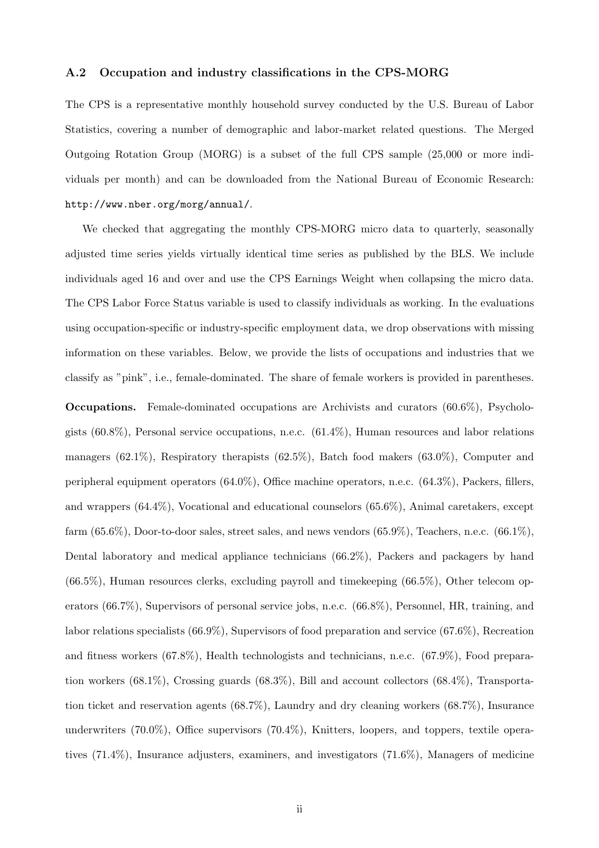#### A.2 Occupation and industry classifications in the CPS-MORG

The CPS is a representative monthly household survey conducted by the U.S. Bureau of Labor Statistics, covering a number of demographic and labor-market related questions. The Merged Outgoing Rotation Group (MORG) is a subset of the full CPS sample (25,000 or more individuals per month) and can be downloaded from the National Bureau of Economic Research: http://www.nber.org/morg/annual/.

We checked that aggregating the monthly CPS-MORG micro data to quarterly, seasonally adjusted time series yields virtually identical time series as published by the BLS. We include individuals aged 16 and over and use the CPS Earnings Weight when collapsing the micro data. The CPS Labor Force Status variable is used to classify individuals as working. In the evaluations using occupation-specific or industry-specific employment data, we drop observations with missing information on these variables. Below, we provide the lists of occupations and industries that we classify as "pink", i.e., female-dominated. The share of female workers is provided in parentheses.

Occupations. Female-dominated occupations are Archivists and curators (60.6%), Psychologists (60.8%), Personal service occupations, n.e.c. (61.4%), Human resources and labor relations managers  $(62.1\%)$ , Respiratory therapists  $(62.5\%)$ , Batch food makers  $(63.0\%)$ , Computer and peripheral equipment operators (64.0%), Office machine operators, n.e.c. (64.3%), Packers, fillers, and wrappers (64.4%), Vocational and educational counselors (65.6%), Animal caretakers, except farm  $(65.6\%)$ , Door-to-door sales, street sales, and news vendors  $(65.9\%)$ , Teachers, n.e.c.  $(66.1\%)$ , Dental laboratory and medical appliance technicians (66.2%), Packers and packagers by hand  $(66.5\%)$ , Human resources clerks, excluding payroll and timekeeping  $(66.5\%)$ , Other telecom operators (66.7%), Supervisors of personal service jobs, n.e.c. (66.8%), Personnel, HR, training, and labor relations specialists (66.9%), Supervisors of food preparation and service (67.6%), Recreation and fitness workers (67.8%), Health technologists and technicians, n.e.c. (67.9%), Food preparation workers (68.1%), Crossing guards (68.3%), Bill and account collectors (68.4%), Transportation ticket and reservation agents (68.7%), Laundry and dry cleaning workers (68.7%), Insurance underwriters (70.0%), Office supervisors (70.4%), Knitters, loopers, and toppers, textile operatives (71.4%), Insurance adjusters, examiners, and investigators (71.6%), Managers of medicine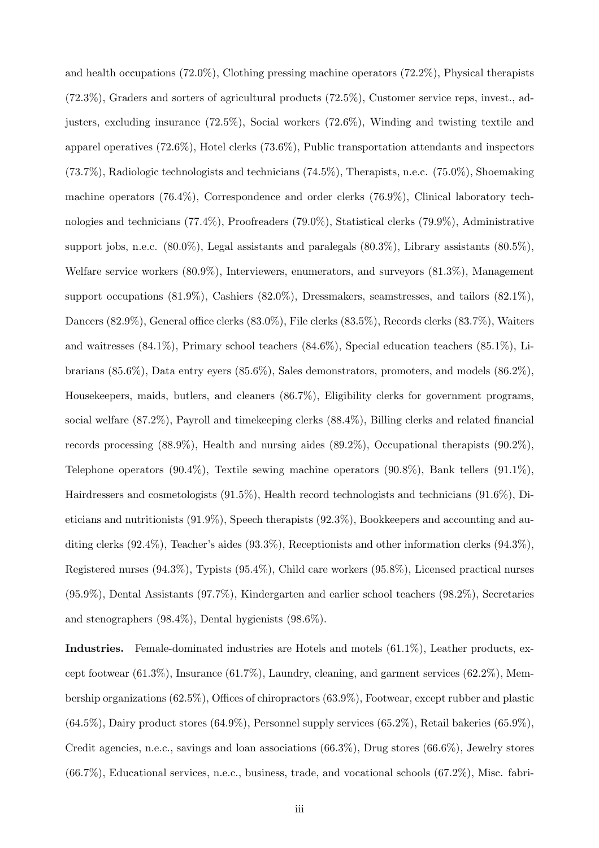and health occupations (72.0%), Clothing pressing machine operators (72.2%), Physical therapists (72.3%), Graders and sorters of agricultural products (72.5%), Customer service reps, invest., adjusters, excluding insurance (72.5%), Social workers (72.6%), Winding and twisting textile and apparel operatives (72.6%), Hotel clerks (73.6%), Public transportation attendants and inspectors (73.7%), Radiologic technologists and technicians (74.5%), Therapists, n.e.c. (75.0%), Shoemaking machine operators (76.4%), Correspondence and order clerks (76.9%), Clinical laboratory technologies and technicians (77.4%), Proofreaders (79.0%), Statistical clerks (79.9%), Administrative support jobs, n.e.c. (80.0%), Legal assistants and paralegals (80.3%), Library assistants (80.5%), Welfare service workers (80.9%), Interviewers, enumerators, and surveyors (81.3%), Management support occupations (81.9%), Cashiers (82.0%), Dressmakers, seamstresses, and tailors (82.1%), Dancers (82.9%), General office clerks (83.0%), File clerks (83.5%), Records clerks (83.7%), Waiters and waitresses (84.1%), Primary school teachers (84.6%), Special education teachers (85.1%), Librarians (85.6%), Data entry eyers (85.6%), Sales demonstrators, promoters, and models (86.2%), Housekeepers, maids, butlers, and cleaners (86.7%), Eligibility clerks for government programs, social welfare (87.2%), Payroll and timekeeping clerks (88.4%), Billing clerks and related financial records processing (88.9%), Health and nursing aides (89.2%), Occupational therapists (90.2%), Telephone operators (90.4%), Textile sewing machine operators (90.8%), Bank tellers (91.1%), Hairdressers and cosmetologists (91.5%), Health record technologists and technicians (91.6%), Dieticians and nutritionists (91.9%), Speech therapists (92.3%), Bookkeepers and accounting and auditing clerks (92.4%), Teacher's aides (93.3%), Receptionists and other information clerks (94.3%), Registered nurses (94.3%), Typists (95.4%), Child care workers (95.8%), Licensed practical nurses (95.9%), Dental Assistants (97.7%), Kindergarten and earlier school teachers (98.2%), Secretaries and stenographers (98.4%), Dental hygienists (98.6%).

Industries. Female-dominated industries are Hotels and motels (61.1%), Leather products, except footwear (61.3%), Insurance (61.7%), Laundry, cleaning, and garment services (62.2%), Membership organizations (62.5%), Offices of chiropractors (63.9%), Footwear, except rubber and plastic  $(64.5\%)$ , Dairy product stores  $(64.9\%)$ , Personnel supply services  $(65.2\%)$ , Retail bakeries  $(65.9\%)$ , Credit agencies, n.e.c., savings and loan associations (66.3%), Drug stores (66.6%), Jewelry stores (66.7%), Educational services, n.e.c., business, trade, and vocational schools (67.2%), Misc. fabri-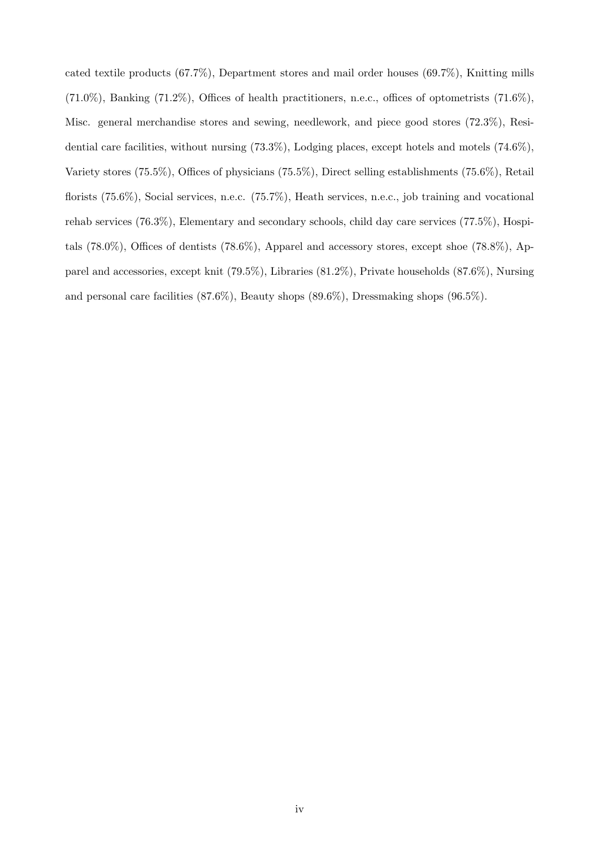cated textile products (67.7%), Department stores and mail order houses (69.7%), Knitting mills  $(71.0\%)$ , Banking  $(71.2\%)$ , Offices of health practitioners, n.e.c., offices of optometrists  $(71.6\%)$ , Misc. general merchandise stores and sewing, needlework, and piece good stores (72.3%), Residential care facilities, without nursing (73.3%), Lodging places, except hotels and motels (74.6%), Variety stores (75.5%), Offices of physicians (75.5%), Direct selling establishments (75.6%), Retail florists (75.6%), Social services, n.e.c. (75.7%), Heath services, n.e.c., job training and vocational rehab services (76.3%), Elementary and secondary schools, child day care services (77.5%), Hospitals (78.0%), Offices of dentists (78.6%), Apparel and accessory stores, except shoe (78.8%), Apparel and accessories, except knit (79.5%), Libraries (81.2%), Private households (87.6%), Nursing and personal care facilities (87.6%), Beauty shops (89.6%), Dressmaking shops (96.5%).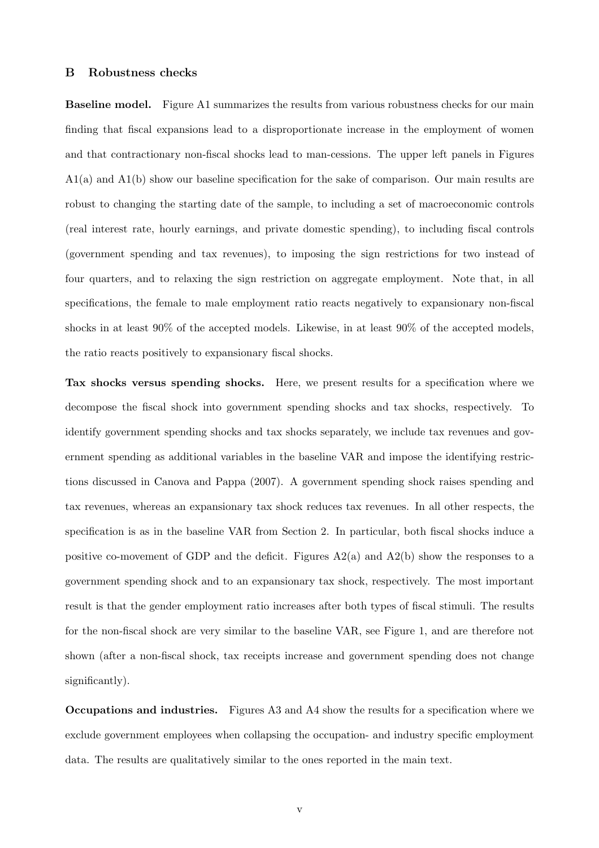#### B Robustness checks

Baseline model. Figure A1 summarizes the results from various robustness checks for our main finding that fiscal expansions lead to a disproportionate increase in the employment of women and that contractionary non-fiscal shocks lead to man-cessions. The upper left panels in Figures A1(a) and A1(b) show our baseline specification for the sake of comparison. Our main results are robust to changing the starting date of the sample, to including a set of macroeconomic controls (real interest rate, hourly earnings, and private domestic spending), to including fiscal controls (government spending and tax revenues), to imposing the sign restrictions for two instead of four quarters, and to relaxing the sign restriction on aggregate employment. Note that, in all specifications, the female to male employment ratio reacts negatively to expansionary non-fiscal shocks in at least 90% of the accepted models. Likewise, in at least 90% of the accepted models, the ratio reacts positively to expansionary fiscal shocks.

Tax shocks versus spending shocks. Here, we present results for a specification where we decompose the fiscal shock into government spending shocks and tax shocks, respectively. To identify government spending shocks and tax shocks separately, we include tax revenues and government spending as additional variables in the baseline VAR and impose the identifying restrictions discussed in Canova and Pappa (2007). A government spending shock raises spending and tax revenues, whereas an expansionary tax shock reduces tax revenues. In all other respects, the specification is as in the baseline VAR from Section 2. In particular, both fiscal shocks induce a positive co-movement of GDP and the deficit. Figures  $A2(a)$  and  $A2(b)$  show the responses to a government spending shock and to an expansionary tax shock, respectively. The most important result is that the gender employment ratio increases after both types of fiscal stimuli. The results for the non-fiscal shock are very similar to the baseline VAR, see Figure 1, and are therefore not shown (after a non-fiscal shock, tax receipts increase and government spending does not change significantly).

Occupations and industries. Figures A3 and A4 show the results for a specification where we exclude government employees when collapsing the occupation- and industry specific employment data. The results are qualitatively similar to the ones reported in the main text.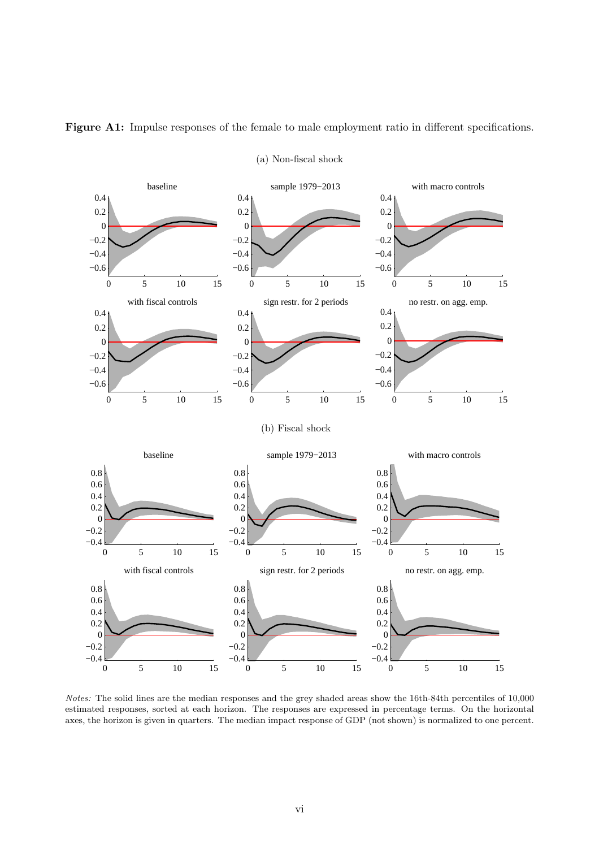

Figure A1: Impulse responses of the female to male employment ratio in different specifications.

(a) Non-fiscal shock

Notes: The solid lines are the median responses and the grey shaded areas show the 16th-84th percentiles of 10,000 estimated responses, sorted at each horizon. The responses are expressed in percentage terms. On the horizontal axes, the horizon is given in quarters. The median impact response of GDP (not shown) is normalized to one percent.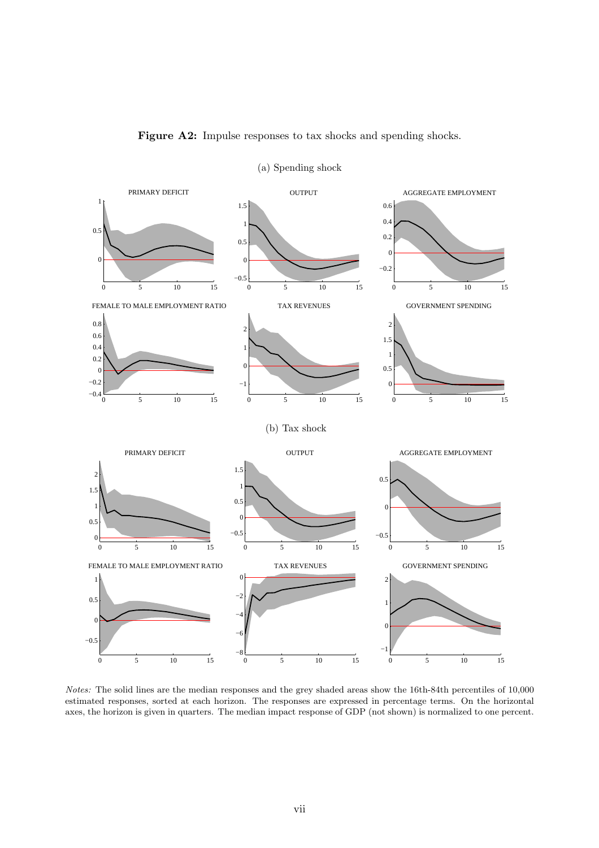

Figure A2: Impulse responses to tax shocks and spending shocks.

(a) Spending shock

Notes: The solid lines are the median responses and the grey shaded areas show the 16th-84th percentiles of 10,000 estimated responses, sorted at each horizon. The responses are expressed in percentage terms. On the horizontal axes, the horizon is given in quarters. The median impact response of GDP (not shown) is normalized to one percent.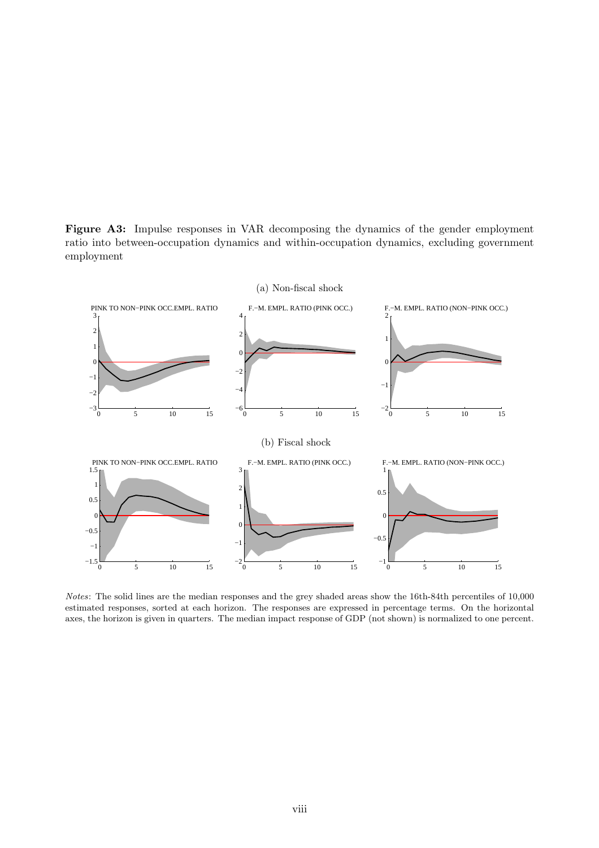Figure A3: Impulse responses in VAR decomposing the dynamics of the gender employment ratio into between-occupation dynamics and within-occupation dynamics, excluding government employment



Notes: The solid lines are the median responses and the grey shaded areas show the 16th-84th percentiles of 10,000 estimated responses, sorted at each horizon. The responses are expressed in percentage terms. On the horizontal axes, the horizon is given in quarters. The median impact response of GDP (not shown) is normalized to one percent.